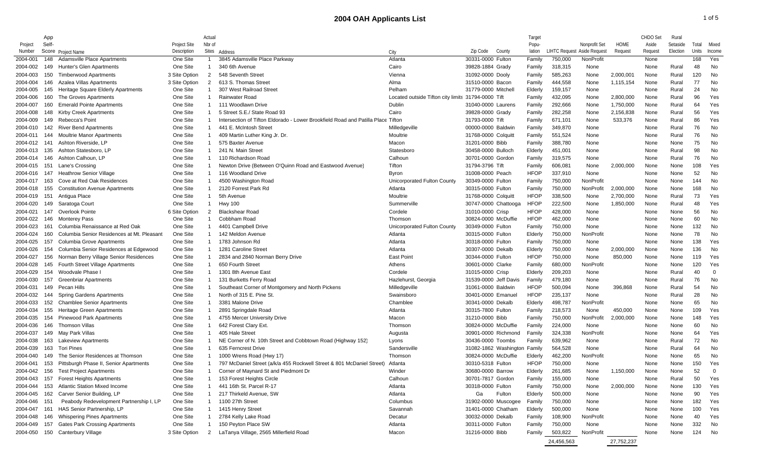|              | App   |                                           |               | Actual         |                                                                                  |                                                    |                              | Target                |                                    |               |             | CHDO Set | Rural    |       |          |
|--------------|-------|-------------------------------------------|---------------|----------------|----------------------------------------------------------------------------------|----------------------------------------------------|------------------------------|-----------------------|------------------------------------|---------------|-------------|----------|----------|-------|----------|
| Project      | Self- |                                           | Project Site  | Nbr of         |                                                                                  |                                                    |                              | Popu-                 |                                    | Nonprofit Set | <b>HOME</b> | Aside    | Setaside | Total | Mixed    |
| Number       |       | Score Project Name                        | Description   |                | Sites Address                                                                    | City                                               | Zip Code<br>County           | lation                | <b>LIHTC Request Aside Request</b> |               | Request     | Request  | Election | Units | Income   |
| 2004-001     | 148   | <b>Adamsville Place Apartments</b>        | One Site      |                | 3845 Adamsville Place Parkway                                                    | Atlanta                                            | 30331-0000 Fulton            | Family                | 750,000                            | NonProfit     |             | None     |          | 168   | Yes      |
| 2004-002     | 149   | Hunter's Glen Apartments                  | One Site      |                | 340 6th Avenue                                                                   | Cairo                                              | 39828-1884 Grady             | Family                | 318,315                            | None          |             | None     | Rural    | 48    | No       |
| 2004-003     | 150   | <b>Timberwood Apartments</b>              | 3 Site Option | $\overline{2}$ | 548 Seventh Street                                                               | Vienna                                             | 31092-0000 Dooly             | Family                | 585,263                            | None          | 2,000,001   | None     | Rural    | 120   | No       |
| 2004-004     | 146   | Azalea Villas Apartments                  | 3 Site Option | 2              | 613 S. Thomas Street                                                             | Alma                                               | 31510-0000 Bacon             | Family                | 444,558                            | None          | 1,115,154   | None     | Rural    | 77    | No       |
| 2004-005     | 145   | Heritage Square Elderly Apartments        | One Site      |                | 307 West Railroad Street                                                         | Pelham                                             | 31779-0000 Mitchell          | Elderly               | 159,157                            | None          |             | None     | Rural    | 24    | No       |
| 2004-006     | 160   | The Groves Apartments                     | One Site      |                | <b>Rainwater Road</b>                                                            | Located outside Tifton city limits 31794-0000 Tift |                              | Family                | 432,095                            | None          | 2,800,000   | None     | Rural    | 96    | Yes      |
| 2004-007     | 160   | <b>Emerald Pointe Apartments</b>          | One Site      |                | 111 Woodlawn Drive                                                               | Dublin                                             | 31040-0000 Laurens           | Family                | 292,666                            | None          | 1,750,000   | None     | Rural    | 64    | Yes      |
| 2004-008     | 148   | <b>Kirby Creek Apartments</b>             | One Site      |                | 5 Street S.E./ State Road 93                                                     | Cairo                                              | 39828-0000 Grady             | Family                | 282,258                            | None          | 2,156,838   | None     | Rural    | 56    | Yes      |
| 2004-009     | 149   | Rebecca's Point                           | One Site      |                | Intersection of Tifton Eldorado - Lower Brookfield Road and Patilla Place Tifton |                                                    | 31793-0000 Tift              | Family                | 671,101                            | None          | 533,376     | None     | Rural    | 86    | Yes      |
| 2004-010     | 142   | <b>River Bend Apartments</b>              | One Site      |                | 441 E. McIntosh Street                                                           | Milledgeville                                      | 00000-0000 Baldwin           | Family                | 349,870                            | None          |             | None     | Rural    | 76    | No       |
| 2004-011     | 144   | <b>Moultrie Manor Apartments</b>          | One Site      |                | 409 Martin Luther King Jr. Dr.                                                   | Moultrie                                           | 31768-0000 Colquitt          | Family                | 551,524                            | None          |             | None     | Rural    | 76    | No       |
| 2004-012     | 141   | Ashton Riverside, LP                      | One Site      |                | 575 Baxter Avenue                                                                | Macon                                              | 31201-0000 Bibb              | Family                | 388,780                            | None          |             | None     | None     | 75    | No       |
| 2004-013     | 135   | Ashton Statesboro, LP                     | One Site      |                | 241 N. Main Street                                                               | Statesboro                                         | 30458-0000 Bulloch           | Elderly               | 451,001                            | None          |             | None     | Rural    | 98    | No       |
| 2004-014     | 146   | Ashton Calhoun, LP                        | One Site      |                | 110 Richardson Road                                                              | Calhoun                                            | 30701-0000 Gordon            | Family                | 319,575                            | None          |             | None     | Rural    | 76    | No       |
| 2004-015     | - 151 | Lane's Crossing                           | One Site      |                | Newton Drive (Between O'Quinn Road and Eastwood Avenue)                          | Tifton                                             | 31794-3796 Tift              | Family                | 606,081                            | None          | 2,000,000   | None     | None     | 108   | Yes      |
| 2004-016     | 147   | <b>Heathrow Senior Village</b>            | One Site      |                | 116 Woodland Drive                                                               | Byron                                              | 31008-0000 Peach             | <b>HFOP</b>           | 337,910                            | None          |             | None     | None     | 52    | No       |
| 2004-017     | 163   | Cove at Red Oak Residences                | One Site      |                | 4500 Washington Road                                                             | Unicorporated Fulton County                        | 30349-0000 Fulton            | Family                | 750,000                            | NonProfit     |             | None     | None     | 144   | No       |
| 2004-018     | 155   | <b>Constitution Avenue Apartments</b>     | One Site      |                | 2120 Forrest Park Rd                                                             | Atlanta                                            | 30315-0000 Fulton            | Family                | 750,000                            | NonProfit     | 2,000,000   | None     | None     | 168   | No       |
| 2004-019     | - 151 | Antigua Place                             | One Site      |                | 5th Avenue                                                                       | Moultrie                                           | 31768-0000 Colquitt          | <b>HFOP</b>           | 338,500                            | None          | 2,700,000   | None     | Rural    | 73    | Yes      |
| 2004-020     | 149   | Saratoga Court                            | One Site      |                | <b>Hwy 100</b>                                                                   | Summerville                                        | 30747-0000 Chattooga         | <b>HFOP</b>           | 222,500                            | None          | 1,850,000   | None     | Rural    | 48    | Yes      |
| 2004-021     | 147   | Overlook Pointe                           | 6 Site Option | 2              | <b>Blackshear Road</b>                                                           | Cordele                                            | 31010-0000 Crisp             | <b>HFOP</b>           | 428,000                            | None          |             | None     | None     | 56    | No       |
| 2004-022     | 146   | <b>Monterey Pass</b>                      | One Site      |                | Cobbham Road                                                                     | Thomson                                            | 30824-0000 McDuffie          | <b>HFOP</b>           | 462,000                            | None          |             | None     | None     | 60    | No       |
| 2004-023     | 161   | Columbia Renaissance at Red Oak           | One Site      |                | 4401 Campbell Drive                                                              | Unicorporated Fulton County                        | 30349-0000 Fulton            | Family                | 750,000                            | None          |             | None     | None     | 132   | No       |
| 2004-024     | 160   | Columbia Senior Residences at Mt. Pleasan | One Site      |                | 142 Meldon Avenue                                                                | Atlanta                                            | 30315-0000 Fulton            | Elderly               | 750,000                            | NonProfit     |             | None     | None     | 78    | No       |
| 2004-025     | 157   | Columbia Grove Apartments                 | One Site      |                | 1783 Johnson Rd                                                                  | Atlanta                                            | 30318-0000 Fulton            | Family                | 750,000                            | None          |             | None     | None     | 138   | Yes      |
| 2004-026     | 154   | Columbia Senior Residences at Edgewood    | One Site      |                | 1281 Caroline Street                                                             | Atlanta                                            | 30307-0000 Dekalb            | Elderly               | 750,000                            | None          | 2,000,000   | None     | None     | 136   | No       |
| 2004-027     | 156   | Norman Berry Village Senior Residences    | One Site      |                | 2834 and 2840 Norman Berry Drive                                                 | <b>East Point</b>                                  | 30344-0000 Fulton            | <b>HFOP</b>           | 750,000                            | None          | 850,000     | None     | None     | 119   | Yes      |
| 2004-028     | 145   | Fourth Street Village Apartments          | One Site      |                | 650 Fourth Street                                                                | Athens                                             | 30601-0000 Clarke            | Family                | 680,000                            | NonProfit     |             | None     | None     | 120   | Yes      |
| 2004-029     | 154   | Woodvale Phase I                          | One Site      |                | 1301 8th Avenue East                                                             | Cordele                                            | 31015-0000 Crisp             | Elderly               | 209,203                            | None          |             | None     | Rural    | 40    | - 0      |
| 2004-030     | 157   | <b>Greenbriar Apartments</b>              | One Site      |                | 131 Burketts Ferry Road                                                          | Hazlehurst, Georgia                                | 31539-0000 Jeff Davis        |                       | 479,180                            | None          |             | None     | Rural    | 76    | No       |
| 2004-031     | 149   | Pecan Hills                               | One Site      |                |                                                                                  |                                                    | 31061-0000 Baldwin           | Family<br><b>HFOP</b> |                                    |               |             |          | Rural    | 54    | No       |
|              |       |                                           | One Site      |                | Southeast Corner of Montgomery and North Pickens<br>North of 315 E. Pine St.     | Milledgeville<br>Swainsboro                        |                              | <b>HFOP</b>           | 500,094                            | None<br>None  | 396,868     | None     |          | 28    | No       |
| 2004-032     | 144   | Spring Gardens Apartments                 |               |                |                                                                                  |                                                    | 30401-0000 Emanuel           |                       | 235,137                            |               |             | None     | Rural    |       |          |
| 2004-033     | 152   | <b>Chamblee Senior Apartments</b>         | One Site      |                | 3381 Malone Drive                                                                | Chamblee                                           | 30341-0000 Dekalb            | Elderly               | 498,787                            | NonProfit     |             | None     | None     | 65    | No       |
| 2004-034     | 155   | Heritage Green Apartments                 | One Site      |                | 2891 Springdale Road                                                             | Atlanta                                            | 30315-7800 Fulton            | Family                | 218,573                            | None          | 450,000     | None     | None     | 109   | Yes      |
| 2004-035     | 154   | <b>Pinewood Park Apartments</b>           | One Site      |                | 4755 Mercer University Drive                                                     | Macon                                              | 31210-0000 Bibb              | Family                | 750,000                            | NonProfit     | 2,000,000   | None     | None     | 148   | Yes      |
| 2004-036     | 146   | <b>Thomson Villas</b>                     | One Site      |                | 642 Forest Clary Ext.                                                            | Thomson                                            | 30824-0000 McDuffie          | Family                | 224,000                            | None          |             | None     | None     | 60    | No       |
| 2004-037     | 149   | May Park Villas                           | One Site      |                | 405 Hale Street                                                                  | Augusta                                            | 30901-0000 Richmond          | Family                | 324,338                            | NonProfit     |             | None     | None     | 64    | Yes      |
| 2004-038     | 163   | <b>Lakeview Apartments</b>                | One Site      |                | NE Corner of N. 10th Street and Cobbtown Road (Highway 152)                      | Lyons                                              | 30436-0000 Toombs            | Family                | 639,962                            | None          |             | None     | Rural    | 72    | No       |
| 2004-039     | 163   | <b>Tori Pines</b>                         | One Site      |                | 635 Ferncrest Drive                                                              | Sandersville                                       | 31082-1862 Washington Family |                       | 564,528                            | None          |             | None     | Rural    | 64    | No       |
| 2004-040     | 149   | The Senior Residences at Thomson          | One Site      |                | 1000 Wrens Road (Hwy 17)                                                         | Thomson                                            | 30824-0000 McDuffie          | Elderly               | 462,200                            | NonProfit     |             | None     | None     | 65    | No       |
| 2004-041     | 153   | Pittsburgh Phase II, Senior Apartments    | One Site      |                | 797 McDaniel Street (a/k/a 455 Rockwell Street & 801 McDaniel Street)            | Atlanta                                            | 30310-5318 Fulton            | <b>HFOP</b>           | 750,000                            | None          |             | None     | None     | 150   | Yes      |
|              |       | 2004-042 156 Test Project Apartments      | One Site      |                | Corner of Maynard St and Piedmont Dr                                             | Winder                                             | 30680-0000 Barrow            | Elderly               | 261,685                            | None          | 1,150,000   | None     | None     | 52    | $\Omega$ |
| 2004-043 157 |       | <b>Forest Heights Apartments</b>          | One Site      |                | 153 Forest Heights Circle                                                        | Calhoun                                            | 30701-7817 Gordon            | Family                | 155,000                            | None          |             | None     | Rural    | 50    | Yes      |
| 2004-044 153 |       | <b>Atlantic Station Mixed Income</b>      | One Site      |                | 441 16th St. Parcel R-17                                                         | Atlanta                                            | 30318-0000 Fulton            | Family                | 750,000                            | None          | 2,000,000   | None     | None     | 130   | Yes      |
| 2004-045     | 162   | Carver Senior Building, LP                | One Site      |                | 217 Thirkeld Avenue, SW                                                          | Atlanta                                            | Fulton<br>Ga                 | Elderly               | 500,000                            | None          |             | None     | None     | 90    | Yes      |
| 2004-046 151 |       | Peabody Redevelopment Partnership I, LP   | One Site      | 1.             | 1100 27th Street                                                                 | Columbus                                           | 31902-0000 Muscogee          | Family                | 750,000                            | None          |             | None     | None     | 182   | Yes      |
| 2004-047 161 |       | HAS Senior Partnership, LP                | One Site      |                | 1415 Henry Street                                                                | Savannah                                           | 31401-0000 Chatham           | Elderly               | 500,000                            | None          |             | None     | None     | 100   | Yes      |
| 2004-048     | 146   | <b>Whispering Pines Apartments</b>        | One Site      |                | 2784 Kelly Lake Road                                                             | Decatur                                            | 30032-0000 Dekalb            | Family                | 108,900                            | NonProfit     |             | None     | None     | 40    | Yes      |
| 2004-049     | 157   | <b>Gates Park Crossing Apartments</b>     | One Site      | -1             | 150 Peyton Place SW                                                              | Atlanta                                            | 30311-0000 Fulton            | Family                | 750,000                            | None          |             | None     | None     | 332   | No       |
| 2004-050     | 150   | Canterbury Village                        | 3 Site Option | 2              | LaTanya Village, 2565 Millerfield Road                                           | Macon                                              | 31216-0000 Bibb              | Family                | 503,822                            | NonProfit     |             | None     | None     | 124   | No       |
|              |       |                                           |               |                |                                                                                  |                                                    |                              |                       | 24,456,563                         |               | 27,752,237  |          |          |       |          |
|              |       |                                           |               |                |                                                                                  |                                                    |                              |                       |                                    |               |             |          |          |       |          |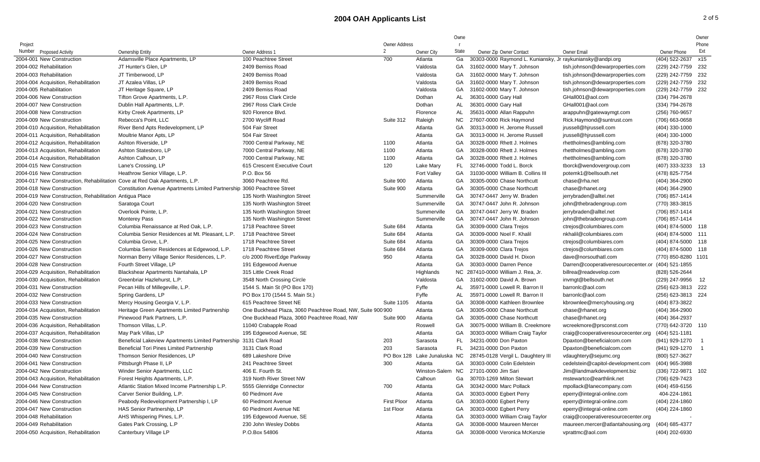## **2004 OAH Applicants List** 2 of 5

 $\overline{\phantom{a}}$ 

|                                                                            |                                                                          |                                                            |                      |                    | Owne         |                                                            |                                     |                      | Owner |
|----------------------------------------------------------------------------|--------------------------------------------------------------------------|------------------------------------------------------------|----------------------|--------------------|--------------|------------------------------------------------------------|-------------------------------------|----------------------|-------|
| Project                                                                    |                                                                          |                                                            | <b>Owner Address</b> |                    | $\mathsf{r}$ |                                                            |                                     |                      | Phone |
| Number Proposed Activity                                                   | <b>Ownership Entity</b>                                                  | Owner Address 1                                            | $\mathfrak{D}$       | <b>Owner City</b>  | State        | Owner Zip Owner Contact                                    | <b>Owner Email</b>                  | Owner Phone          | Ext   |
| 2004-001 New Construction                                                  | Adamsville Place Apartments, LP                                          | 100 Peachtree Street                                       | 700                  | Atlanta            | Ga           | 30303-0000 Raymond L. Kuniansky, Jr raykuniansky@andpi.org |                                     | (404) 522-2637 x15   |       |
| 2004-002 Rehabilitation                                                    | JT Hunter's Glen, LP                                                     | 2409 Bemiss Road                                           |                      | Valdosta           | GA           | 31602-0000 Mary T. Johnson                                 | tish.johnson@dewarproperties.com    | (229) 242-7759 232   |       |
| 2004-003 Rehabilitation                                                    | JT Timberwood, LP                                                        | 2409 Bemiss Road                                           |                      | Valdosta           | GA           | 31602-0000 Mary T. Johnson                                 | tish.johnson@dewarproperties.com    | (229) 242-7759 232   |       |
| 2004-004 Acquisition, Rehabilitation                                       | JT Azalea Villas, LP                                                     | 2409 Bemiss Road                                           |                      | Valdosta           | GA           | 31602-0000 Mary T. Johnson                                 | tish.johnson@dewarproperties.com    | (229) 242-7759 232   |       |
| 2004-005 Rehabilitation                                                    | JT Heritage Square, LP                                                   | 2409 Bemiss Road                                           |                      | Valdosta           | GA           | 31602-0000 Mary T. Johnson                                 | tish.johnson@dewarproperties.com    | (229) 242-7759 232   |       |
| 2004-006 New Construction                                                  | Tifton Grove Apartments, L.P.                                            | 2967 Ross Clark Circle                                     |                      | Dothan             | AL           | 36301-0000 Gary Hall                                       | GHall001@aol.com                    | (334) 794-2678       |       |
| 2004-007 New Construction                                                  | Dublin Hall Apartments, L.P.                                             | 2967 Ross Clark Circle                                     |                      | Dothan             | AL           | 36301-0000 Gary Hall                                       | GHall001@aol.com                    | (334) 794-2678       |       |
| 2004-008 New Construction                                                  | Kirby Creek Apartments, LP                                               | 920 Florence Blvd.                                         |                      | Florence           | AL           | 35631-0000 Allan Rappuhn                                   | arappuhn@gatewaymgt.com             | (256) 760-9657       |       |
| 2004-009 New Construction                                                  | Rebecca's Point. LLC                                                     | 2700 Wycliff Road                                          | Suite 312            | Raleigh            | <b>NC</b>    | 27607-0000 Rick Haymond                                    | Rick.Haymond@suntrust.com           | (706) 663-0658       |       |
| 2004-010 Acquisition, Rehabilitation                                       | River Bend Apts Redevelopment, LP                                        | 504 Fair Street                                            |                      | Atlanta            | GA           | 30313-0000 H. Jerome Russell                               | jrussell@hjrussell.com              | (404) 330-1000       |       |
| 2004-011 Acquisition, Rehabilitation                                       | Moultrie Manor Apts, LP                                                  | 504 Fair Street                                            |                      | Atlanta            | GA           | 30313-0000 H. Jerome Russell                               | jrussell@hjrussell.com              | (404) 330-1000       |       |
| 2004-012 Acquisition, Rehabilitation                                       | Ashton Riverside, LP                                                     | 7000 Central Parkway, NE                                   | 1100                 | Atlanta            | GA           | 30328-0000 Rhett J. Holmes                                 | rhettholmes@ambling.com             | (678) 320-3780       |       |
| 2004-013 Acquisition, Rehabilitation                                       | Ashton Statesboro, LP                                                    | 7000 Central Parkway, NE                                   | 1100                 | Atlanta            | GA           | 30328-0000 Rhett J. Holmes                                 | rhettholmes@ambling.com             | (678) 320-3780       |       |
| 2004-014 Acquisition, Rehabilitation                                       | Ashton Calhoun, LP                                                       | 7000 Central Parkway, NE                                   | 1100                 | Atlanta            | GA           | 30328-0000 Rhett J. Holmes                                 | rhettholmes@ambling.com             | (678) 320-3780       |       |
| 2004-015 New Construction                                                  | Lane's Crossing, LP                                                      | 615 Crescent Executive Court                               | 120                  | Lake Mary          | <b>FL</b>    | 32746-0000 Todd L. Borck                                   | tborck@wendovergroup.com            | $(407)$ 333-3233 13  |       |
| 2004-016 New Construction                                                  | Heathrow Senior Village, L.P.                                            | P.O. Box 56                                                |                      | <b>Fort Valley</b> | GA           | 31030-0000 William B. Collins III                          | potemk1@bellsouth.net               | (478) 825-7754       |       |
| 2004-017 New Construction, Rehabilitation Cove at Red Oak Apartments, L.P. |                                                                          | 3060 Peachtree Rd.                                         | Suite 900            | Atlanta            | GA           | 30305-0000 Chase Northcutt                                 | chase@rha.net                       | (404) 364-2900       |       |
| 2004-018 New Construction                                                  | Constitution Avenue Apartments Limited Partnership 3060 Peachtree Street |                                                            | Suite 900            | Atlanta            | GA           | 30305-0000 Chase Northcutt                                 | chase@rhanet.org                    | (404) 364-2900       |       |
| 2004-019 New Construction, Rehabilitation Antigua Place                    |                                                                          | 135 North Washington Street                                |                      | Summerville        | GA           | 30747-0447 Jerry W. Braden                                 | jerrybraden@alltel.net              | (706) 857-1414       |       |
| 2004-020 New Construction                                                  | Saratoga Court                                                           | 135 North Washington Street                                |                      | Summerville        | GA           | 30747-0447 John R. Johnson                                 | john@thebradengroup.com             | (770) 383-3815       |       |
| 2004-021 New Construction                                                  | Overlook Pointe, L.P.                                                    | 135 North Washington Street                                |                      | Summerville        | GA           | 30747-0447 Jerry W. Braden                                 | jerrybraden@alltel.net              | (706) 857-1414       |       |
| 2004-022 New Construction                                                  | <b>Monterey Pass</b>                                                     | 135 North Washington Street                                |                      | Summerville        | GA           | 30747-0447 John R. Johnson                                 | john@thebradengroup.com             | (706) 857-1414       |       |
| 2004-023 New Construction                                                  | Columbia Renaissance at Red Oak, L.P.                                    | 1718 Peachtree Street                                      | Suite 684            | Atlanta            | GA           | 30309-0000 Clara Trejos                                    | ctrejos@columbiares.com             | (404) 874-5000 118   |       |
| 2004-024 New Construction                                                  | Columbia Senior Residences at Mt. Pleasant, L.P.                         | 1718 Peachtree Street                                      | Suite 684            | Atlanta            | GA           | 30309-0000 Noel F. Khalil                                  | nkhalil@columbiares.com             | (404) 874-5000 111   |       |
| 2004-025 New Construction                                                  | Columbia Grove, L.P.                                                     | 1718 Peachtree Street                                      | Suite 684            | Atlanta            | GA           | 30309-0000 Clara Trejos                                    | ctrejos@columbiares.com             | $(404)$ 874-5000 118 |       |
| 2004-026 New Construction                                                  | Columbia Senior Residences at Edgewood, L.P.                             | 1718 Peachtree Street                                      | Suite 684            | Atlanta            | GA           | 30309-0000 Clara Trejos                                    | ctrejos@columbiares.com             | (404) 874-5000 118   |       |
| 2004-027 New Construction                                                  | Norman Berry Village Senior Residences, L.P.                             | c/o 2000 RiverEdge Parkway                                 | 950                  | Atlanta            | GA           | 30328-0000 David H. Dixon                                  | dave@norsouthatl.com                | (770) 850-8280 1101  |       |
| 2004-028 New Construction                                                  | Fourth Street Village, LP                                                | 191 Edgewood Avenue                                        |                      | Atlanta            | GA           | 30303-0000 Darren Pence                                    | Darren@cooperativeresourcecenter.or | (404) 521-1855       |       |
| 2004-029 Acquisition, Rehabilitation                                       | Blackshear Apartments Nantahala, LP                                      | 315 Little Creek Road                                      |                      | Highlands          | NC           | 287410-0000 William J. Rea, Jr.                            | billrea@readevelop.com              | (828) 526-2644       |       |
| 2004-030 Acquisition, Rehabilitation                                       | Greenbriar Hazlehurst, L.P.                                              | 3548 North Crossing Circle                                 |                      | Valdosta           | GA           | 31602-0000 David A. Brown                                  | invmgt@bellsouth.net                | (229) 247-9956 12    |       |
| 2004-031 New Construction                                                  | Pecan Hills of Millegeville, L.P.                                        | 1544 S. Main St (PO Box 170)                               |                      | Fyffe              | AL           | 35971-0000 Lowell R. Barron II                             | barronIc@aoI.com                    | (256) 623-3813 222   |       |
| 2004-032 New Construction                                                  | Spring Gardens, LP                                                       | PO Box 170 (1544 S. Main St.)                              |                      | Fyffe              | AL           | 35971-0000 Lowell R. Barron II                             | barronIc@aol.com                    | (256) 623-3813 224   |       |
| 2004-033 New Construction                                                  | Mercy Housing Georgia V, L.P.                                            | 615 Peachtree Street NE                                    | <b>Suite 1105</b>    | Atlanta            | GA           | 30308-0000 Kathleen Brownlee                               | kbrownlee@mercyhousing.org          | (404) 873-3822       |       |
| 2004-034 Acquisition, Rehabilitation                                       | Heritage Green Apartments Limited Partnership                            | One Buckhead Plaza, 3060 Peachtree Road, NW, Suite 900 900 |                      | Atlanta            | GA           | 30305-0000 Chase Northcutt                                 | chase@rhanet.org                    | (404) 364-2900       |       |
| 2004-035 New Construction                                                  | Pinewood Park Partners, L.P.                                             | One Buckhead Plaza, 3060 Peachtree Road, NW                | Suite 900            | Atlanta            | GA           | 30305-0000 Chase Northcutt                                 | chase@rhanet.org                    | (404) 364-2937       |       |
| 2004-036 Acquisition, Rehabilitation                                       | Thomson Villas, L.P.                                                     | 11040 Crabapple Road                                       |                      | Roswell            | GA           | 30075-0000 William B. Creekmore                            | wcreekmore@prsconst.com             | (770) 642-3720 110   |       |
| 2004-037 Acquisition, Rehabilitation                                       | May Park Villas, LP                                                      | 195 Edgewood Avenue, SE                                    |                      | Atlanta            | GA           | 30303-0000 William Craig Taylor                            | craig@cooperativeresourcecenter.org | (404) 521-1181       |       |
| 2004-038 New Construction                                                  | Beneficial Lakeview Apartments Limited Partnership 3131 Clark Road       |                                                            | 203                  | Sarasota           | FL.          | 34231-0000 Don Paxton                                      | Dpaxton@beneficialcom.com           | (941) 929-1270       |       |
| 2004-039 New Construction                                                  | Beneficial Tori Pines Limited Partnership                                | 3131 Clark Road                                            | 203                  | Sarasota           | FL.          | 34231-0000 Don Paxton                                      | Dpaxton@beneficialcom.com           | $(941)$ 929-1270 1   |       |
| 2004-040 New Construction                                                  | Thomson Senior Residences, LP                                            | 689 Lakeshore Drive                                        | PO Box 128           | Lake Junaluska NC  |              | 28745-0128 Vergil L. Daughtery III                         | vdaughtery@sejumc.org               | (800) 527-3627       |       |
| 2004-041 New Construction                                                  | Pittsburgh Phase II, LP                                                  | 241 Peachtree Street                                       | 300                  | Atlanta            | GA           | 30303-0000 Colin Edelstein                                 | cedelstein@capitol-development.com  | (404) 965-3988       |       |
| 2004-042 New Construction                                                  | Winder Senior Apartments, LLC                                            | 406 E. Fourth St.                                          |                      | Winston-Salem NC   |              | 27101-0000 Jim Sari                                        | Jim@landmarkdevelopment.biz         | (336) 722-9871 102   |       |
| 2004-043 Acquisition, Rehabilitation                                       | Forest Heights Apartments, L.P.                                          | 319 North River Street NW                                  |                      | Calhoun            | Ga           | 30703-1269 Milton Stewart                                  | mstewartco@earthlink.net            | (706) 629-7423       |       |
| 2004-044 New Construction                                                  | Atlantic Station Mixed Income Partnership L.P.                           | 5555 Glenridge Connector                                   | 700                  | Atlanta            | GA           | 30342-0000 Marc Pollack                                    | mpollack@lanecompany.com            | (404) 459-6156       |       |
| 2004-045 New Construction                                                  | Carver Senior Building, L.P.                                             | 60 Piedmont Ave                                            |                      | Atlanta            | GA           | 30303-0000 Egbert Perry                                    | eperry@integral-online.com          | 404-224-1861         |       |
| 2004-046 New Construction                                                  | Peabody Redevelopment Partnership I, LP                                  | 60 Piedmont Avenue                                         | <b>First Ploor</b>   | Atlanta            | GA           | 30303-0000 Egbert Perry                                    | eperry@integral-online.com          | (404) 224-1860       |       |
| 2004-047 New Construction                                                  | HAS Senior Partnership, LP                                               | 60 Piedmont Avenue NE                                      | 1st Floor            | Atlanta            | GA           | 30303-0000 Egbert Perry                                    | eperry@integral-online.com          | (404) 224-1860       |       |
| 2004-048 Rehabilitation                                                    | AHS Whispering Pines, L.P.                                               | 195 Edgewood Avenue, SE                                    |                      | Atlanta            | GA           | 30303-0000 William Craig Taylor                            | craig@cooperativeresourcecenter.org |                      |       |
| 2004-049 Rehabilitation                                                    | Gates Park Crossing, L.P                                                 | 230 John Wesley Dobbs                                      |                      | Atlanta            | GA           | 30308-0000 Maureen Mercer                                  | maureen.mercer@atlantahousing.org   | (404) 685-4377       |       |
| 2004-050 Acquisition, Rehabilitation                                       | Canterbury Village LP                                                    | P.O.Box 54806                                              |                      | Atlanta            | GA           | 30308-0000 Veronica McKenzie                               | vprattmc@aol.com                    |                      |       |
|                                                                            |                                                                          |                                                            |                      |                    |              |                                                            |                                     | (404) 202-6930       |       |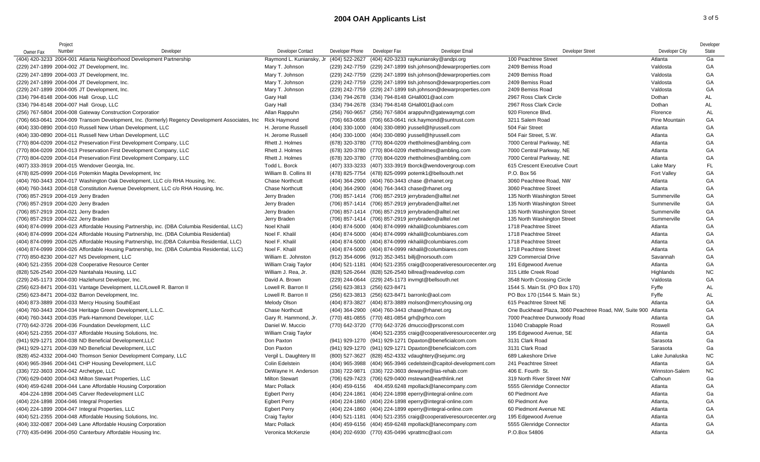## **2004 OAH Applicants List** 3 of 5

| Owner Fax                              | Project<br>Number | Developer                                                                                        | Developer Contact                    | Developer Phone                  | Developer Fax                                                                                     | Developer Email | Developer Street                                               | Developer City       | Developer<br>State |
|----------------------------------------|-------------------|--------------------------------------------------------------------------------------------------|--------------------------------------|----------------------------------|---------------------------------------------------------------------------------------------------|-----------------|----------------------------------------------------------------|----------------------|--------------------|
|                                        |                   | (404) 420-3233 2004-001 Atlanta Neighborhood Development Partnership                             | Raymond L. Kuniansky, Jr             | (404) 522-2627                   | (404) 420-3233 raykuniansky@andpi.org                                                             |                 | 100 Peachtree Street                                           | Atlanta              | Ga                 |
|                                        |                   | (229) 247-1899 2004-002 JT Development, Inc.                                                     | Mary T. Johnson                      | (229) 242-7759                   | (229) 247-1899 tish.johnson@dewarproperties.com                                                   |                 | 2409 Bemiss Road                                               | Valdosta             | GA                 |
|                                        |                   |                                                                                                  |                                      |                                  |                                                                                                   |                 | 2409 Bemiss Road                                               |                      | GA                 |
|                                        |                   | (229) 247-1899 2004-003 JT Development, Inc.                                                     | Mary T. Johnson                      |                                  | (229) 242-7759 (229) 247-1899 tish.johnson@dewarproperties.com                                    |                 | 2409 Bemiss Road                                               | Valdosta             |                    |
|                                        |                   | (229) 247-1899 2004-004 JT Development, Inc.                                                     | Mary T. Johnson<br>Mary T. Johnson   | (229) 242-7759<br>(229) 242-7759 | (229) 247-1899 tish.johnson@dewarproperties.com                                                   |                 | 2409 Bemiss Road                                               | Valdosta<br>Valdosta | GA<br>GA           |
|                                        |                   | (229) 247-1899 2004-005 JT Development, Inc.                                                     |                                      |                                  | (229) 247-1899 tish.johnson@dewarproperties.com<br>(334) 794-2678 (334) 794-8148 GHall001@aol.com |                 | 2967 Ross Clark Circle                                         | Dothan               | AL                 |
|                                        |                   | (334) 794-8148 2004-006 Hall Group, LLC                                                          | Gary Hall                            |                                  |                                                                                                   |                 |                                                                | Dothan               | <b>AL</b>          |
|                                        |                   | (334) 794-8148 2004-007 Hall Group, LLC                                                          | <b>Gary Hall</b>                     |                                  | (334) 794-2678 (334) 794-8148 GHall001@aol.com                                                    |                 | 2967 Ross Clark Circle<br>920 Florence Blvd.                   | Florence             | <b>AL</b>          |
|                                        |                   | (256) 767-5804 2004-008 Gateway Construction Corporation                                         | Allan Rappuhn<br><b>Rick Haymond</b> | (256) 760-9657                   | (256) 767-5804 arappuhn@gatewaymgt.com                                                            |                 | 3211 Salem Road                                                | Pine Mountain        | GA                 |
|                                        |                   | (706) 663-0641 2004-009 Transom Development, Inc. (formerly) Regency Development Associates, Inc |                                      |                                  | (706) 663-0658 (706) 663-0641 rick.haymond@suntrust.com                                           |                 | 504 Fair Street                                                |                      | GA                 |
|                                        |                   | (404) 330-0890 2004-010 Russell New Urban Development, LLC                                       | H. Jerome Russell                    |                                  | (404) 330-1000 (404) 330-0890 jrussell@hjrussell.com                                              |                 |                                                                | Atlanta              |                    |
|                                        |                   | (404) 330-0890 2004-011 Russell New Urban Development, LLC                                       | H. Jerome Russell                    |                                  | (404) 330-1000 (404) 330-0890 jrussell@hjrussell.com                                              |                 | 504 Fair Street, S.W.                                          | Atlanta              | GA                 |
|                                        |                   | (770) 804-0209 2004-012 Preservation First Development Company, LLC                              | Rhett J. Holmes                      |                                  | (678) 320-3780 (770) 804-0209 rhettholmes@ambling.com                                             |                 | 7000 Central Parkway, NE                                       | Atlanta              | GA                 |
|                                        |                   | (770) 804-0209 2004-013 Preservation First Development Company, LLC                              | Rhett J. Holmes                      |                                  | (678) 320-3780 (770) 804-0209 rhettholmes@ambling.com                                             |                 | 7000 Central Parkway, NE                                       | Atlanta              | GA                 |
|                                        |                   | (770) 804-0209 2004-014 Preservation First Development Company, LLC                              | Rhett J. Holmes                      |                                  | (678) 320-3780 (770) 804-0209 rhettholmes@ambling.com                                             |                 | 7000 Central Parkway, NE                                       | Atlanta              | GA                 |
|                                        |                   | (407) 333-3919 2004-015 Wendover Georgia, Inc.                                                   | Todd L. Borck                        |                                  | (407) 333-3233 (407) 333-3919 tborck@wendovergroup.com                                            |                 | 615 Crescent Executive Court                                   | Lake Mary            | FL.                |
|                                        |                   | (478) 825-0999 2004-016 Potemkin Magita Development, Inc.                                        | William B. Collins III               |                                  | (478) 825-7754 (478) 825-0999 potemk1@bellsouth.net                                               |                 | P.O. Box 56                                                    | Fort Valley          | GA                 |
|                                        |                   | (404) 760-3443 2004-017 Washington Oak Development, LLC c/o RHA Housing, Inc.                    | <b>Chase Northcutt</b>               |                                  | (404) 364-2900 (404) 760-3443 chase @rhanet.org                                                   |                 | 3060 Peachtree Road, NW                                        | Atlanta              | GA                 |
|                                        |                   | (404) 760-3443 2004-018 Constitution Avenue Development, LLC c/o RHA Housing, Inc.               | <b>Chase Northcutt</b>               |                                  | (404) 364-2900 (404) 764-3443 chase@rhanet.org                                                    |                 | 3060 Peachtree Street                                          | Atlanta              | GA                 |
| (706) 857-2919 2004-019 Jerry Braden   |                   |                                                                                                  | Jerry Braden                         |                                  | (706) 857-1414 (706) 857-2919 jerrybraden@alltel.net                                              |                 | 135 North Washington Street                                    | Summerville          | GA                 |
| (706) 857-2919 2004-020 Jerry Braden   |                   |                                                                                                  | Jerry Braden                         |                                  | (706) 857-1414 (706) 857-2919 jerrybraden@alltel.net                                              |                 | 135 North Washington Street                                    | Summerville          | GA                 |
| (706) 857-2919 2004-021 Jerry Braden   |                   |                                                                                                  | Jerry Braden                         |                                  | (706) 857-1414 (706) 857-2919 jerrybraden@alltel.net                                              |                 | 135 North Washington Street                                    | Summerville          | GA                 |
| (706) 857-2919 2004-022 Jerry Braden   |                   |                                                                                                  | Jerry Braden                         |                                  | (706) 857-1414 (706) 857-2919 jerrybraden@alltel.net                                              |                 | 135 North Washington Street                                    | Summerville          | GA                 |
|                                        |                   | (404) 874-0999 2004-023 Affordable Housing Partnership, inc. (DBA Columbia Residential, LLC)     | Noel Khalil                          |                                  | (404) 874-5000 (404) 874-0999 nkhalil@columbiares.com                                             |                 | 1718 Peachtree Street                                          | Atlanta              | GA                 |
|                                        |                   | (404) 874-0999 2004-024 Affordable Housing Partnership, Inc. (DBA Columbia Residential)          | Noel F. Khalil                       |                                  | (404) 874-5000 (404) 874-0999 nkhalil@columbiares.com                                             |                 | 1718 Peachtree Street                                          | Atlanta              | GA                 |
|                                        |                   | (404) 874-0999 2004-025 Affordable Housing Partnership, Inc.(DBA Columbia Residential, LLC)      | Noel F. Khalil                       |                                  | (404) 874-5000 (404) 874-0999 nkhalil@columbiares.com                                             |                 | 1718 Peachtree Street                                          | Atlanta              | GA                 |
|                                        |                   | (404) 874-0999 2004-026 Affordable Housing Partnership, Inc. (DBA Columbia Residential, LLC)     | Noel F. Khalil                       |                                  | (404) 874-5000 (404) 874-0999 nkhalil@columbiares.com                                             |                 | 1718 Peachtree Street                                          | Atlanta              | GA                 |
|                                        |                   | (770) 850-8230 2004-027 NS Development, LLC                                                      | William E. Johnston                  |                                  | (912) 354-6096 (912) 352-3451 billj@norsouth.com                                                  |                 | 329 Commercial Drive                                           | Savannah             | GA                 |
|                                        |                   | (404) 521-2355 2004-028 Cooperative Resource Center                                              | William Craig Taylor                 |                                  | (404) 521-1181 (404) 521-2355 craig@cooperativeresourcecenter.org                                 |                 | 191 Edgewood Avenue                                            | Atlanta              | GA                 |
|                                        |                   | (828) 526-2540 2004-029 Nantahala Housing, LLC                                                   | William J. Rea, Jr.                  |                                  | (828) 526-2644 (828) 526-2540 billrea@readevelop.com                                              |                 | 315 Little Creek Road                                          | Highlands            | <b>NC</b>          |
|                                        |                   | (229) 245-1173 2004-030 Hazlehurst Developer, Inc.                                               | David A. Brown                       |                                  | (229) 244-0644 (229) 245-1173 invmgt@bellsouth.net                                                |                 | 3548 North Crossing Circle                                     | Valdosta             | GA                 |
|                                        |                   | (256) 623-8471 2004-031 Vantage Development, LLC/Lowell R. Barron II                             | Lowell R. Barron II                  | (256) 623-3813 (256) 623-8471    |                                                                                                   |                 | 1544 S. Main St. (PO Box 170)                                  | Fyffe                | <b>AL</b>          |
|                                        |                   | (256) 623-8471 2004-032 Barron Development, Inc.                                                 | Lowell R. Barron II                  |                                  | (256) 623-3813 (256) 623-8471 barronlc@aol.com                                                    |                 | PO Box 170 (1544 S. Main St.)                                  | Fyffe                | <b>AL</b>          |
|                                        |                   | (404) 873-3889 2004-033 Mercy Housing SouthEast                                                  | Melody Olson                         | (404) 873-3827                   | (404) 873-3889 molson@mercyhousing.org                                                            |                 | 615 Peachtree Street NE                                        | Atlanta              | GA                 |
|                                        |                   | (404) 760-3443 2004-034 Heritage Green Development, L.L.C.                                       | <b>Chase Northcutt</b>               |                                  | (404) 364-2900 (404) 760-3443 chase@rhanet.org                                                    |                 | One Buckhead Plaza, 3060 Peachtree Road, NW, Suite 900 Atlanta |                      | GA                 |
|                                        |                   | (404) 760-3443 2004-035 Park-Hammond Developer, LLC                                              | Gary R. Hammond, Jr.                 |                                  | (770) 481-0855 (770) 481-0854 grh@grhco.com                                                       |                 | 7000 Peachtree Dunwoody Road                                   | Atlanta              | GA                 |
|                                        |                   | (770) 642-3726 2004-036 Foundation Development, LLC                                              | Daniel W. Muccio                     |                                  | (770) 642-3720 (770) 642-3726 dmuccio@prsconst.com                                                |                 | 11040 Crabapple Road                                           | Roswell              | GA                 |
|                                        |                   | (404) 521-2355 2004-037 Affordable Housing Solutions, Inc.                                       | William Craig Taylor                 |                                  | (404) 521-2355 craig@cooperativeresourcecenter.org                                                |                 | 195 Edgewood Avenue, SE                                        | Atlanta              | GA                 |
|                                        |                   | (941) 929-1271 2004-038 ND Beneficial Development, LLC                                           | Don Paxton                           |                                  | (941) 929-1270 (941) 929-1271 Dpaxton@beneficialcom.com                                           |                 | 3131 Clark Road                                                | Sarasota             | Ga                 |
|                                        |                   | (941) 929-1271 2004-039 ND Beneficial Development, LLC                                           | Don Paxton                           |                                  | (941) 929-1270 (941) 929-1271 Dpaxton@beneficialcom.com                                           |                 | 3131 Clark Road                                                | Sarasota             | Ga                 |
|                                        |                   | (828) 452-4332 2004-040 Thomson Senior Development Company, LLC                                  | Vergil L. Daughtery III              |                                  | (800) 527-3627 (828) 452-4332 vdaughtery@sejumc.org                                               |                 | 689 Lakeshore Drive                                            | Lake Junaluska       | <b>NC</b>          |
|                                        |                   | (404) 965-3946 2004-041 CHP Housing Development, LLC                                             | Colin Edelstein                      | (404) 965-3988                   | (404) 965-3946 cedelstein@capitol-development.com                                                 |                 | 241 Peachtree Street                                           | Atlanta              | GA                 |
| (336) 722-3603 2004-042 Archetype, LLC |                   |                                                                                                  | DeWayne H. Anderson                  |                                  | (336) 722-9871 (336) 722-3603 dewayne@las-rehab.com                                               |                 | 406 E. Fourth St.                                              | Winnston-Salem       | <b>NC</b>          |
|                                        |                   | (706) 629-0400 2004-043 Milton Stewart Properties, LLC                                           | <b>Milton Stewart</b>                |                                  | (706) 629-7423 (706) 629-0400 mstewart@earthlink.net                                              |                 | 319 North River Street NW                                      | Calhoun              | Ga                 |
|                                        |                   | (404) 459-6248 2004-044 Lane Affordable Housing Corporation                                      | Marc Pollack                         | (404) 459-6156                   | 404.459.6248 mpollack@lanecompany.com                                                             |                 | 5555 Glenridge Connector                                       | Atlanta              | GA                 |
|                                        |                   | 404-224-1898 2004-045 Carver Redevelopment LLC                                                   | <b>Egbert Perry</b>                  |                                  | (404) 224-1861 (404) 224-1898 eperry@integral-online.com                                          |                 | 60 Piedmont Ave                                                | Atlanta              | Ga                 |
|                                        |                   | (404) 224-1898 2004-046 Integral Properties                                                      | <b>Egbert Perry</b>                  |                                  | (404) 224-1860 (404) 224-1898 eperry@integral-online.com                                          |                 | 60 Piedmont Ave                                                | Atlanta,             | GA                 |
|                                        |                   | (404) 224-1899 2004-047 Integral Properties, LLC                                                 | <b>Egbert Perry</b>                  |                                  | (404) 224-1860 (404) 224-1899 eperry@integral-online.com                                          |                 | 60 Piedmont Avenue NE                                          | Atlanta              | GA                 |
|                                        |                   | (404) 521-2355 2004-048 Affordable Housing Solutions, Inc.                                       | Craig Taylor                         |                                  | (404) 521-1181 (404) 521-2355 craig@cooperativeresourcecenter.org                                 |                 | 195 Edgewood Avenue                                            | Atlanta              | GA                 |
|                                        |                   | (404) 332-0087 2004-049 Lane Affordable Housing Corporation                                      | Marc Pollack                         |                                  | (404) 459-6156 (404) 459-6248 mpollack@lanecompany.com                                            |                 | 5555 Glenridge Connector                                       | Atlanta              | GA                 |
|                                        |                   | (770) 435-0496 2004-050 Canterbury Affordable Housing Inc.                                       | Veronica McKenzie                    |                                  | (404) 202-6930 (770) 435-0496 vprattmc@aol.com                                                    |                 | P.O.Box 54806                                                  | Atlanta              | GA                 |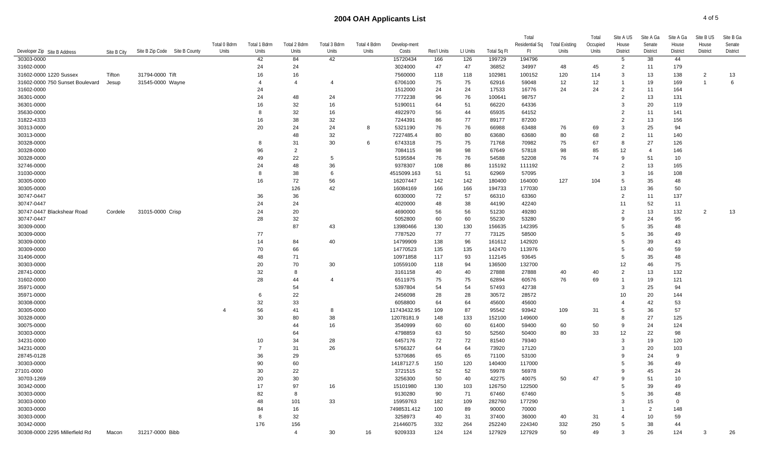## **2004 OAH Applicants List** 4 of 5

|                                 |             |                               |              |                |                |                |              |                    |             |          |                | Total          |                | Total    | Site A US                        | Site A Ga | Site A Ga      | Site B US       | Site B Ga |
|---------------------------------|-------------|-------------------------------|--------------|----------------|----------------|----------------|--------------|--------------------|-------------|----------|----------------|----------------|----------------|----------|----------------------------------|-----------|----------------|-----------------|-----------|
|                                 |             |                               | Total 0 Bdrm | Total 1 Bdrm   | Total 2 Bdrm   | Total 3 Bdrm   | Total 4 Bdrm | Develop-ment       |             |          |                | Residential Sq | Total Existing | Occupied | House                            | Senate    | House          | House           | Senate    |
| Developer Zip Site B Address    | Site B City | Site B Zip Code Site B County | Units        | Units          | Units          | Units          | Units        | Costs              | Res'l Units | LI Units | Total Sq Ft    | - Ft           | Units          | Units    | <b>District</b>                  | District  | District       | <b>District</b> | District  |
| 30303-0000                      |             |                               |              | 42             | 84             | 42             |              | 15720434           | 166         | 126      | 199729         | 194796         |                |          | -5                               | 38        | 44             |                 |           |
| 31602-0000                      |             |                               |              | 24             | 24             |                |              | 3024000            | 47          | 47       | 36852          | 34997          | 48             | 45       | $\overline{2}$                   | 11        | 179            |                 |           |
| 31602-0000 1220 Sussex          | Tifton      | 31794-0000 Tift               |              | 16             | 16             |                |              | 7560000            | 118         | 118      | 102981         | 100152         | 120            | 114      | 3                                | 13        | 138            | $\overline{c}$  | 13        |
| 31602-0000 750 Sunset Boulevard | Jesup       | 31545-0000 Wayne              |              |                | $\overline{4}$ |                |              | 6706100            | 75          | 75       | 62916          | 59048          | 12             | 12       |                                  | 19        | 169            |                 | 6         |
| 31602-0000                      |             |                               |              | 24             |                |                |              | 1512000            | 24          | 24       | 17533          | 16776          | 24             | 24       | $\overline{2}$<br>$\overline{2}$ | 11        | 164            |                 |           |
| 36301-0000                      |             |                               |              | 24             | 48             | 24             |              | 7772238            | 96          | 76       | 100641         | 98757          |                |          | 3                                | 13        | 131            |                 |           |
| 36301-0000                      |             |                               |              | 16             | 32             | 16             |              | 5190011            | 64          | 51       | 66220          | 64336          |                |          | $\overline{2}$                   | 20        | 119            |                 |           |
| 35630-0000                      |             |                               |              | 8<br>16        | 32<br>38       | 16<br>32       |              | 4922970            | 56          | 44<br>77 | 65935          | 64152          |                |          | $\overline{2}$                   | 11        | 141            |                 |           |
| 31822-4333<br>30313-0000        |             |                               |              | 20             | 24             | 24             | 8            | 7244391<br>5321190 | 86<br>76    | 76       | 89177<br>66988 | 87200<br>63488 | 76             | 69       | 3                                | 13<br>25  | 156<br>94      |                 |           |
| 30313-0000                      |             |                               |              |                | 48             | 32             |              | 7227485.4          |             | 80       | 63680          | 63680          | 80             | 68       | $\overline{2}$                   | 11        | 140            |                 |           |
| 30328-0000                      |             |                               |              | 8              | 31             | 30             | 6            | 6743318            | 80<br>75    | 75       | 71768          | 70982          | 75             | 67       | 8                                | 27        | 126            |                 |           |
|                                 |             |                               |              | 96             | $\overline{2}$ |                |              |                    | 98          | 98       |                | 57818          | 98             | 85       | 12                               |           | 146            |                 |           |
| 30328-0000<br>30328-0000        |             |                               |              | 49             | 22             | -5             |              | 7084115<br>5195584 | 76          | 76       | 67649<br>54588 | 52208          | 76             | 74       | -9                               | 51        | 10             |                 |           |
| 32746-0000                      |             |                               |              | 24             | 48             | 36             |              | 9378307            | 108         | 86       | 115192         | 111192         |                |          | $\mathcal{P}$                    | 13        | 165            |                 |           |
| 31030-0000                      |             |                               |              | 8              | 38             | 6              |              | 4515099.163        | 51          | 51       | 62969          | 57095          |                |          | 3                                | 16        | 108            |                 |           |
| 30305-0000                      |             |                               |              | 16             | 72             | 56             |              | 16207447           | 142         | 142      | 180400         | 164000         | 127            | 104      | 5                                | 35        | 48             |                 |           |
| 30305-0000                      |             |                               |              |                | 126            | 42             |              | 16084169           | 166         | 166      | 194733         | 177030         |                |          | 13                               | 36        | 50             |                 |           |
| 30747-0447                      |             |                               |              | 36             | 36             |                |              | 6030000            | 72          | 57       | 66310          | 63360          |                |          | $\overline{2}$                   | 11        | 137            |                 |           |
| 30747-0447                      |             |                               |              | 24             | 24             |                |              | 4020000            | 48          | 38       | 44190          | 42240          |                |          | 11                               | 52        | 11             |                 |           |
| 30747-0447 Blackshear Road      | Cordele     | 31015-0000 Crisp              |              | 24             | 20             |                |              | 4690000            | 56          | 56       | 51230          | 49280          |                |          | 2                                | 13        | 132            | 2               | 13        |
| 30747-0447                      |             |                               |              | 28             | 32             |                |              | 5052800            | 60          | 60       | 55230          | 53280          |                |          | -9                               | 24        | 95             |                 |           |
| 30309-0000                      |             |                               |              |                | 87             | 43             |              | 13980466           | 130         | 130      | 156635         | 142395         |                |          | -5                               | 35        | 48             |                 |           |
| 30309-0000                      |             |                               |              | 77             |                |                |              | 7787520            | 77          | 77       | 73125          | 58500          |                |          |                                  | 36        | 49             |                 |           |
| 30309-0000                      |             |                               |              | 14             | 84             | 40             |              | 14799909           | 138         | 96       | 161612         | 142920         |                |          |                                  | 39        | 43             |                 |           |
| 30309-0000                      |             |                               |              | 70             | 66             |                |              | 14770523           | 135         | 135      | 142470         | 113976         |                |          | -5                               | 40        | 59             |                 |           |
| 31406-0000                      |             |                               |              | 48             | 71             |                |              | 10971858           | 117         | 93       | 112145         | 93645          |                |          | -5                               | 35        | 48             |                 |           |
| 30303-0000                      |             |                               |              | 20             | 70             | 30             |              | 10559100           | 118         | 94       | 136500         | 132700         |                |          | 12                               | 46        | 75             |                 |           |
| 28741-0000                      |             |                               |              | 32             | 8              |                |              | 3161158            | 40          | 40       | 27888          | 27888          | 40             | 40       | $\overline{2}$                   | 13        | 132            |                 |           |
| 31602-0000                      |             |                               |              | 28             | 44             | $\overline{4}$ |              | 6511975            | 75          | 75       | 62894          | 60576          | 76             | 69       |                                  | 19        | 121            |                 |           |
| 35971-0000                      |             |                               |              |                | 54             |                |              | 5397804            | 54          | 54       | 57493          | 42738          |                |          | 3                                | 25        | 94             |                 |           |
| 35971-0000                      |             |                               |              | 6              | 22             |                |              | 2456098            | 28          | 28       | 30572          | 28572          |                |          | 10                               | 20        | 144            |                 |           |
| 30308-0000                      |             |                               |              | 32             | 33             |                |              | 6058800            | 64          | 64       | 45600          | 45600          |                |          |                                  | 42        | 53             |                 |           |
| 30305-0000                      |             |                               | 4            | 56             | 41             | 8              |              | 11743432.95        | 109         | 87       | 95542          | 93942          | 109            | 31       | -5                               | 36        | 57             |                 |           |
| 30328-0000                      |             |                               |              | 30             | 80             | 38             |              | 12078181.9         | 148         | 133      | 152100         | 149600         |                |          |                                  | 27        | 125            |                 |           |
| 30075-0000                      |             |                               |              |                | 44             | 16             |              | 3540999            | 60          | 60       | 61400          | 59400          | 60             | 50       | 9                                | 24        | 124            |                 |           |
| 30303-0000                      |             |                               |              |                | 64             |                |              | 4798859            | 63          | 50       | 52560          | 50400          | 80             | 33       | 12                               | 22        | 98             |                 |           |
| 34231-0000                      |             |                               |              | 10             | 34             | 28             |              | 6457176            | 72          | 72       | 81540          | 79340          |                |          | 3                                | 19        | 120            |                 |           |
| 34231-0000                      |             |                               |              | $\overline{7}$ | 31             | 26             |              | 5766327            | 64          | 64       | 73920          | 17120          |                |          | -3                               | 20        | 103            |                 |           |
| 28745-0128                      |             |                               |              | 36             | 29             |                |              | 5370686            | 65          | 65       | 71100          | 53100          |                |          |                                  | 24        | -9             |                 |           |
| 30303-0000                      |             |                               |              | 90             | 60             |                |              | 14187127.5         | 150         | 120      | 140400         | 117000         |                |          |                                  | 36        | 49             |                 |           |
| 27101-0000                      |             |                               |              | 30             | 22             |                |              | 3721515            | 52          | 52       | 59978          | 56978          |                |          | q                                | 45        | 24             |                 |           |
| 30703-1269                      |             |                               |              | 20             | 30             |                |              | 3256300            | 50          | 40       | 42275          | 40075          | 50             | 47       | 9                                | 51        | 10             |                 |           |
| 30342-0000                      |             |                               |              | 17             | 97             | 16             |              | 15101980           | 130         | 103      | 126750         | 122500         |                |          |                                  | 39        | 49             |                 |           |
| 30303-0000                      |             |                               |              | 82             | 8              |                |              | 9130280            | 90          | 71       | 67460          | 67460          |                |          |                                  | 36        | 48             |                 |           |
| 30303-0000                      |             |                               |              | 48             | 101            | 33             |              | 15959763           | 182         | 109      | 282760         | 177290         |                |          |                                  | 15        | $\overline{0}$ |                 |           |
| 30303-0000                      |             |                               |              | 84             | 16             |                |              | 7498531.412        | 100         | 89       | 90000          | 70000          |                |          |                                  | 2         | 148            |                 |           |
| 30303-0000                      |             |                               |              | 8              | 32             |                |              | 3258973            | 40          | 31       | 37400          | 36000          | 40             | 31       |                                  | 10        | 59             |                 |           |
| 30342-0000                      |             |                               |              | 176            | 156            |                |              | 21446075           | 332         | 264      | 252240         | 224340         | 332            | 250      | -5                               | 38        | 44             |                 |           |
| 30308-0000 2295 Millerfield Rd  | Macon       | 31217-0000 Bibb               |              |                | $\overline{4}$ | 30             | 16           | 9209333            | 124         | 124      | 127929         | 127929         | 50             | 49       | 3                                | 26        | 124            | 3               | 26        |